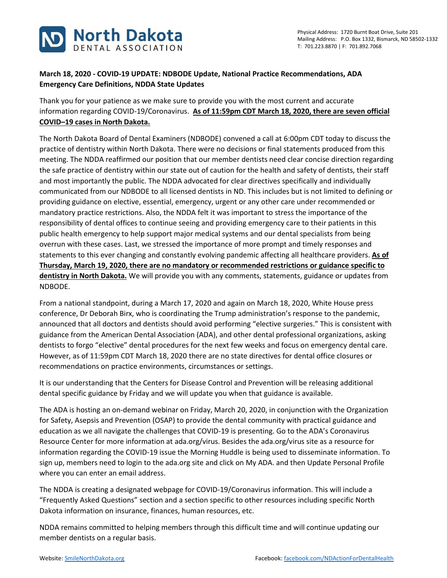

## **March 18, 2020 - COVID-19 UPDATE: NDBODE Update, National Practice Recommendations, ADA Emergency Care Definitions, NDDA State Updates**

Thank you for your patience as we make sure to provide you with the most current and accurate information regarding COVID-19/Coronavirus. **As of 11:59pm CDT March 18, 2020, there are seven official COVID–19 cases in North Dakota.**

The North Dakota Board of Dental Examiners (NDBODE) convened a call at 6:00pm CDT today to discuss the practice of dentistry within North Dakota. There were no decisions or final statements produced from this meeting. The NDDA reaffirmed our position that our member dentists need clear concise direction regarding the safe practice of dentistry within our state out of caution for the health and safety of dentists, their staff and most importantly the public. The NDDA advocated for clear directives specifically and individually communicated from our NDBODE to all licensed dentists in ND. This includes but is not limited to defining or providing guidance on elective, essential, emergency, urgent or any other care under recommended or mandatory practice restrictions. Also, the NDDA felt it was important to stress the importance of the responsibility of dental offices to continue seeing and providing emergency care to their patients in this public health emergency to help support major medical systems and our dental specialists from being overrun with these cases. Last, we stressed the importance of more prompt and timely responses and statements to this ever changing and constantly evolving pandemic affecting all healthcare providers. **As of Thursday, March 19, 2020, there are no mandatory or recommended restrictions or guidance specific to dentistry in North Dakota.** We will provide you with any comments, statements, guidance or updates from NDBODE.

From a national standpoint, during a March 17, 2020 and again on March 18, 2020, White House press conference, Dr Deborah Birx, who is coordinating the Trump administration's response to the pandemic, announced that all doctors and dentists should avoid performing "elective surgeries." This is consistent with guidance from the American Dental Association (ADA), and other dental professional organizations, asking dentists to forgo "elective" dental procedures for the next few weeks and focus on emergency dental care. However, as of 11:59pm CDT March 18, 2020 there are no state directives for dental office closures or recommendations on practice environments, circumstances or settings.

It is our understanding that the Centers for Disease Control and Prevention will be releasing additional dental specific guidance by Friday and we will update you when that guidance is available.

The ADA is hosting an on-demand webinar on Friday, March 20, 2020, in conjunction with the Organization for Safety, Asepsis and Prevention (OSAP) to provide the dental community with practical guidance and education as we all navigate the challenges that COVID-19 is presenting. Go to the ADA's Coronavirus Resource Center for more information at ada.org/virus. Besides the ada.org/virus site as a resource for information regarding the COVID-19 issue the Morning Huddle is being used to disseminate information. To sign up, members need to login to the ada.org site and click on My ADA. and then Update Personal Profile where you can enter an email address.

The NDDA is creating a designated webpage for COVID-19/Coronavirus information. This will include a "Frequently Asked Questions" section and a section specific to other resources including specific North Dakota information on insurance, finances, human resources, etc.

NDDA remains committed to helping members through this difficult time and will continue updating our member dentists on a regular basis.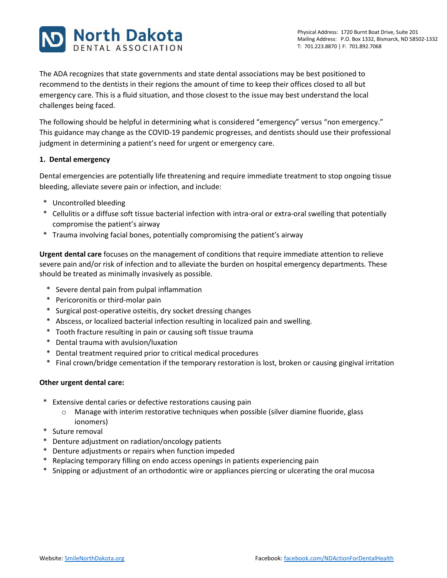

The ADA recognizes that state governments and state dental associations may be best positioned to recommend to the dentists in their regions the amount of time to keep their offices closed to all but emergency care. This is a fluid situation, and those closest to the issue may best understand the local challenges being faced.

The following should be helpful in determining what is considered "emergency" versus "non emergency." This guidance may change as the COVID-19 pandemic progresses, and dentists should use their professional judgment in determining a patient's need for urgent or emergency care.

## **1. Dental emergency**

Dental emergencies are potentially life threatening and require immediate treatment to stop ongoing tissue bleeding, alleviate severe pain or infection, and include:

- \* Uncontrolled bleeding
- \* Cellulitis or a diffuse soft tissue bacterial infection with intra-oral or extra-oral swelling that potentially compromise the patient's airway
- \* Trauma involving facial bones, potentially compromising the patient's airway

**Urgent dental care** focuses on the management of conditions that require immediate attention to relieve severe pain and/or risk of infection and to alleviate the burden on hospital emergency departments. These should be treated as minimally invasively as possible.

- \* Severe dental pain from pulpal inflammation
- \* Pericoronitis or third-molar pain
- \* Surgical post-operative osteitis, dry socket dressing changes
- \* Abscess, or localized bacterial infection resulting in localized pain and swelling.
- \* Tooth fracture resulting in pain or causing soft tissue trauma
- \* Dental trauma with avulsion/luxation
- \* Dental treatment required prior to critical medical procedures
- \* Final crown/bridge cementation if the temporary restoration is lost, broken or causing gingival irritation

## **Other urgent dental care:**

- \* Extensive dental caries or defective restorations causing pain
	- o Manage with interim restorative techniques when possible (silver diamine fluoride, glass ionomers)
- \* Suture removal
- \* Denture adjustment on radiation/oncology patients
- \* Denture adjustments or repairs when function impeded
- \* Replacing temporary filling on endo access openings in patients experiencing pain
- \* Snipping or adjustment of an orthodontic wire or appliances piercing or ulcerating the oral mucosa